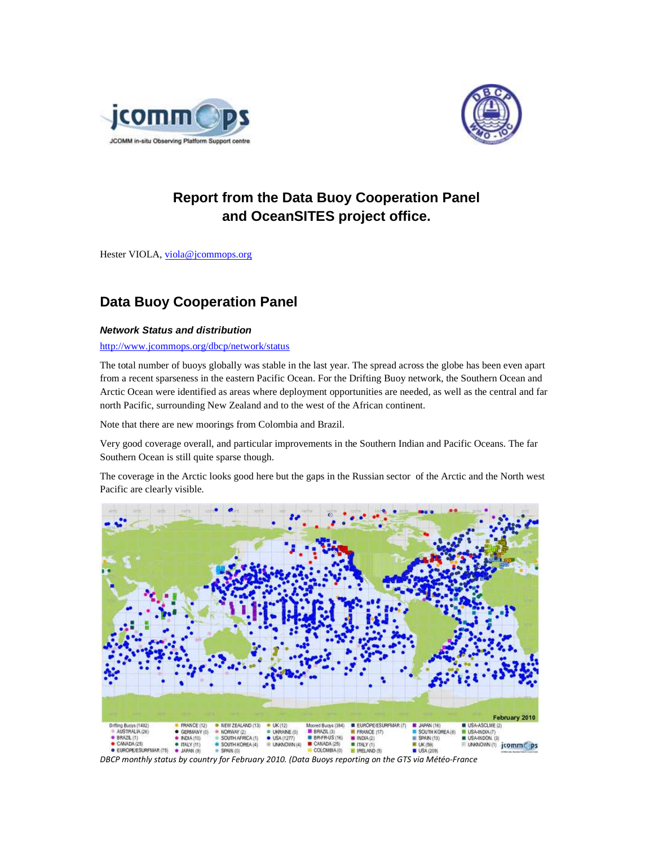



# **Report from the Data Buoy Cooperation Panel and OceanSITES project office.**

Hester VIOLA, viola@jcommops.org

# **Data Buoy Cooperation Panel**

## **Network Status and distribution**

http://www.jcommops.org/dbcp/network/status

The total number of buoys globally was stable in the last year. The spread across the globe has been even apart from a recent sparseness in the eastern Pacific Ocean. For the Drifting Buoy network, the Southern Ocean and Arctic Ocean were identified as areas where deployment opportunities are needed, as well as the central and far north Pacific, surrounding New Zealand and to the west of the African continent.

Note that there are new moorings from Colombia and Brazil.

Very good coverage overall, and particular improvements in the Southern Indian and Pacific Oceans. The far Southern Ocean is still quite sparse though.

The coverage in the Arctic looks good here but the gaps in the Russian sector of the Arctic and the North west Pacific are clearly visible.



*DBCP monthly status by country for February 2010. (Data Buoys reporting on the GTS via Météo-France*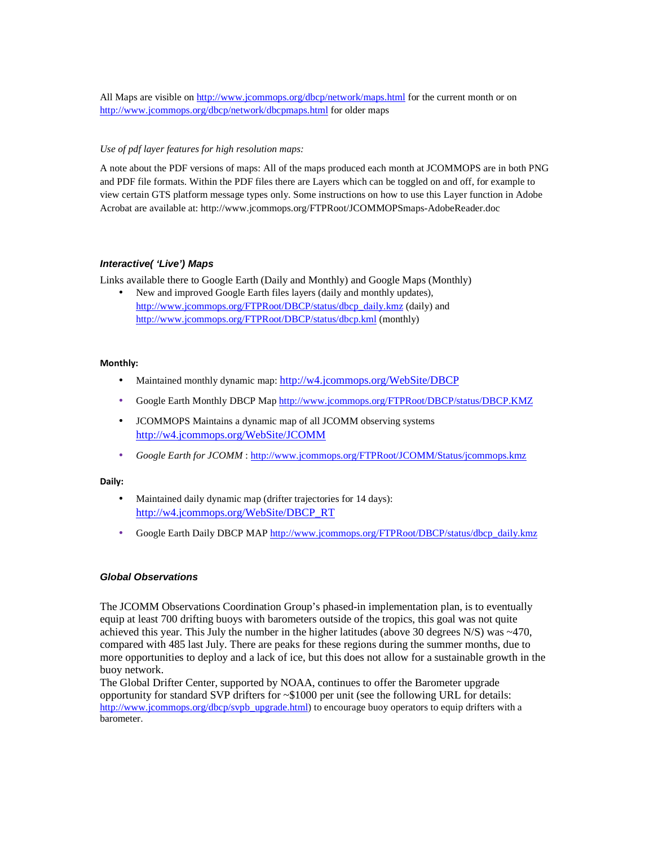All Maps are visible on http://www.jcommops.org/dbcp/network/maps.html for the current month or on http://www.jcommops.org/dbcp/network/dbcpmaps.html for older maps

## *Use of pdf layer features for high resolution maps:*

A note about the PDF versions of maps: All of the maps produced each month at JCOMMOPS are in both PNG and PDF file formats. Within the PDF files there are Layers which can be toggled on and off, for example to view certain GTS platform message types only. Some instructions on how to use this Layer function in Adobe Acrobat are available at: http://www.jcommops.org/FTPRoot/JCOMMOPSmaps-AdobeReader.doc

## **Interactive( 'Live') Maps**

Links available there to Google Earth (Daily and Monthly) and Google Maps (Monthly)

• New and improved Google Earth files layers (daily and monthly updates), http://www.jcommops.org/FTPRoot/DBCP/status/dbcp\_daily.kmz (daily) and http://www.jcommops.org/FTPRoot/DBCP/status/dbcp.kml (monthly)

## **Monthly:**

- Maintained monthly dynamic map: http://w4.jcommops.org/WebSite/DBCP
- Google Earth Monthly DBCP Map http://www.jcommops.org/FTPRoot/DBCP/status/DBCP.KMZ
- JCOMMOPS Maintains a dynamic map of all JCOMM observing systems http://w4.jcommops.org/WebSite/JCOMM
- *Google Earth for JCOMM* : http://www.jcommops.org/FTPRoot/JCOMM/Status/jcommops.kmz

## **Daily:**

- Maintained daily dynamic map (drifter trajectories for 14 days): http://w4.jcommops.org/WebSite/DBCP\_RT
- Google Earth Daily DBCP MAP http://www.jcommops.org/FTPRoot/DBCP/status/dbcp\_daily.kmz

## **Global Observations**

The JCOMM Observations Coordination Group's phased-in implementation plan, is to eventually equip at least 700 drifting buoys with barometers outside of the tropics, this goal was not quite achieved this year. This July the number in the higher latitudes (above 30 degrees  $N/S$ ) was  $\sim$ 470, compared with 485 last July. There are peaks for these regions during the summer months, due to more opportunities to deploy and a lack of ice, but this does not allow for a sustainable growth in the buoy network.

The Global Drifter Center, supported by NOAA, continues to offer the Barometer upgrade opportunity for standard SVP drifters for ~\$1000 per unit (see the following URL for details: http://www.jcommops.org/dbcp/svpb\_upgrade.html) to encourage buoy operators to equip drifters with a barometer.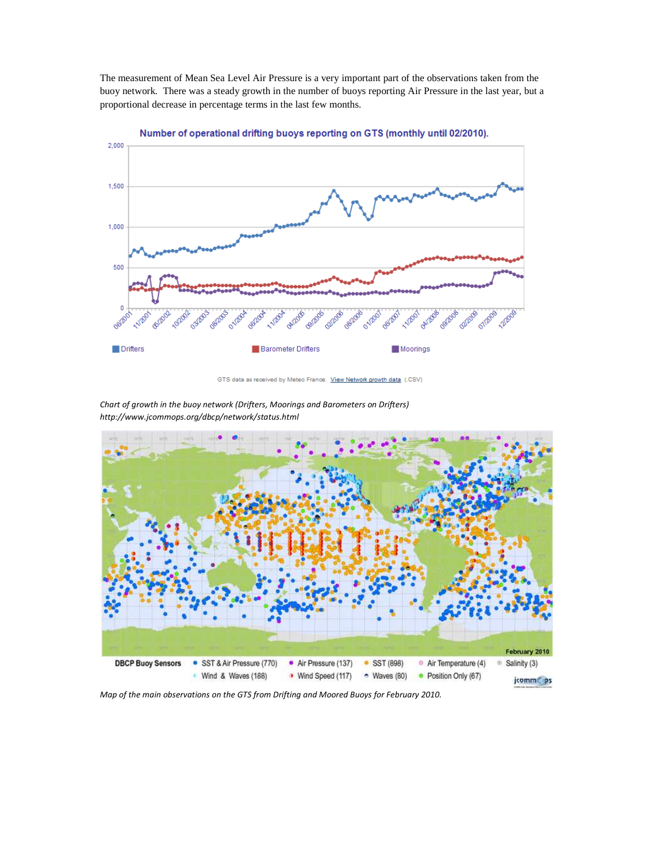The measurement of Mean Sea Level Air Pressure is a very important part of the observations taken from the buoy network. There was a steady growth in the number of buoys reporting Air Pressure in the last year, but a proportional decrease in percentage terms in the last few months.



Number of operational drifting buoys reporting on GTS (monthly until 02/2010).

*Chart of growth in the buoy network (Drifters, Moorings and Barometers on Drifters) http://www.jcommops.org/dbcp/network/status.html* 



*Map of the main observations on the GTS from Drifting and Moored Buoys for February 2010.* 

GTS data as received by Meteo France. View Network growth data (.CSV)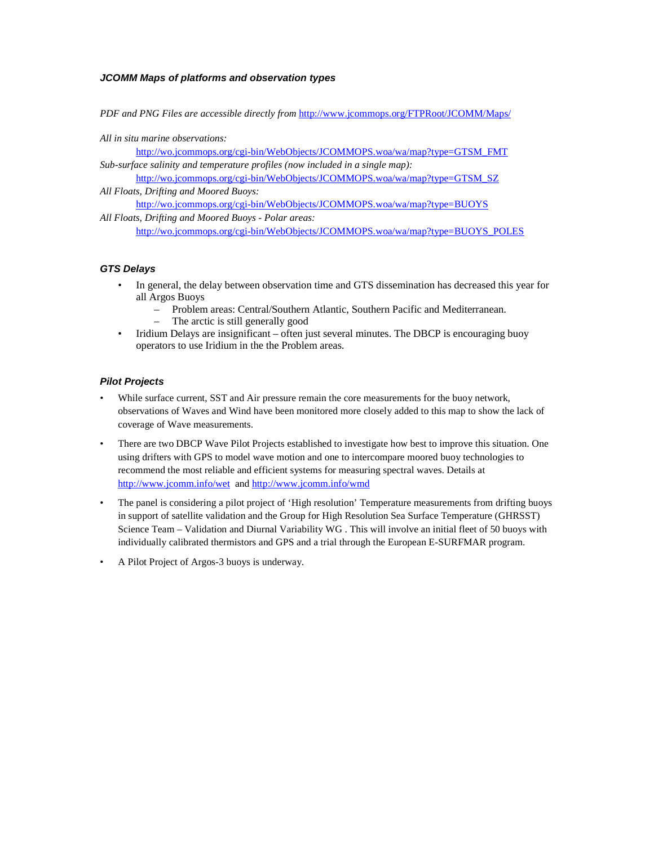## **JCOMM Maps of platforms and observation types**

*PDF and PNG Files are accessible directly from* http://www.jcommops.org/FTPRoot/JCOMM/Maps/

*All in situ marine observations:* 

http://wo.jcommops.org/cgi-bin/WebObjects/JCOMMOPS.woa/wa/map?type=GTSM\_FMT *Sub-surface salinity and temperature profiles (now included in a single map):* 

http://wo.jcommops.org/cgi-bin/WebObjects/JCOMMOPS.woa/wa/map?type=GTSM\_SZ *All Floats, Drifting and Moored Buoys:*

http://wo.jcommops.org/cgi-bin/WebObjects/JCOMMOPS.woa/wa/map?type=BUOYS

*All Floats, Drifting and Moored Buoys - Polar areas:*  http://wo.jcommops.org/cgi-bin/WebObjects/JCOMMOPS.woa/wa/map?type=BUOYS\_POLES

## **GTS Delays**

- In general, the delay between observation time and GTS dissemination has decreased this year for all Argos Buoys
	- Problem areas: Central/Southern Atlantic, Southern Pacific and Mediterranean.
	- The arctic is still generally good
- Iridium Delays are insignificant often just several minutes. The DBCP is encouraging buoy operators to use Iridium in the the Problem areas.

## **Pilot Projects**

- While surface current, SST and Air pressure remain the core measurements for the buoy network, observations of Waves and Wind have been monitored more closely added to this map to show the lack of coverage of Wave measurements.
- There are two DBCP Wave Pilot Projects established to investigate how best to improve this situation. One using drifters with GPS to model wave motion and one to intercompare moored buoy technologies to recommend the most reliable and efficient systems for measuring spectral waves. Details at http://www.jcomm.info/wet and http://www.jcomm.info/wmd
- The panel is considering a pilot project of 'High resolution' Temperature measurements from drifting buoys in support of satellite validation and the Group for High Resolution Sea Surface Temperature (GHRSST) Science Team – Validation and Diurnal Variability WG . This will involve an initial fleet of 50 buoys with individually calibrated thermistors and GPS and a trial through the European E-SURFMAR program.
- A Pilot Project of Argos-3 buoys is underway.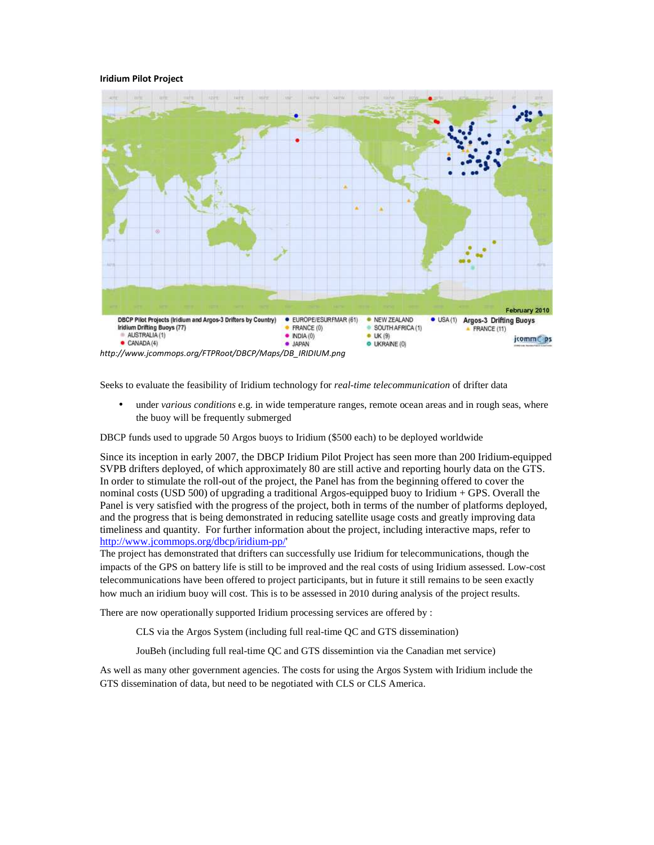#### **Iridium Pilot Project**



*http://www.jcommops.org/FTPRoot/DBCP/Maps/DB\_IRIDIUM.png* 

Seeks to evaluate the feasibility of Iridium technology for *real-time telecommunication* of drifter data

• under *various conditions* e.g. in wide temperature ranges, remote ocean areas and in rough seas, where the buoy will be frequently submerged

DBCP funds used to upgrade 50 Argos buoys to Iridium (\$500 each) to be deployed worldwide

Since its inception in early 2007, the DBCP Iridium Pilot Project has seen more than 200 Iridium-equipped SVPB drifters deployed, of which approximately 80 are still active and reporting hourly data on the GTS. In order to stimulate the roll-out of the project, the Panel has from the beginning offered to cover the nominal costs (USD 500) of upgrading a traditional Argos-equipped buoy to Iridium + GPS. Overall the Panel is very satisfied with the progress of the project, both in terms of the number of platforms deployed, and the progress that is being demonstrated in reducing satellite usage costs and greatly improving data timeliness and quantity. For further information about the project, including interactive maps, refer to http://www.jcommops.org/dbcp/iridium-pp/'

The project has demonstrated that drifters can successfully use Iridium for telecommunications, though the impacts of the GPS on battery life is still to be improved and the real costs of using Iridium assessed. Low-cost telecommunications have been offered to project participants, but in future it still remains to be seen exactly how much an iridium buoy will cost. This is to be assessed in 2010 during analysis of the project results.

There are now operationally supported Iridium processing services are offered by :

CLS via the Argos System (including full real-time QC and GTS dissemination)

JouBeh (including full real-time QC and GTS dissemintion via the Canadian met service)

As well as many other government agencies. The costs for using the Argos System with Iridium include the GTS dissemination of data, but need to be negotiated with CLS or CLS America.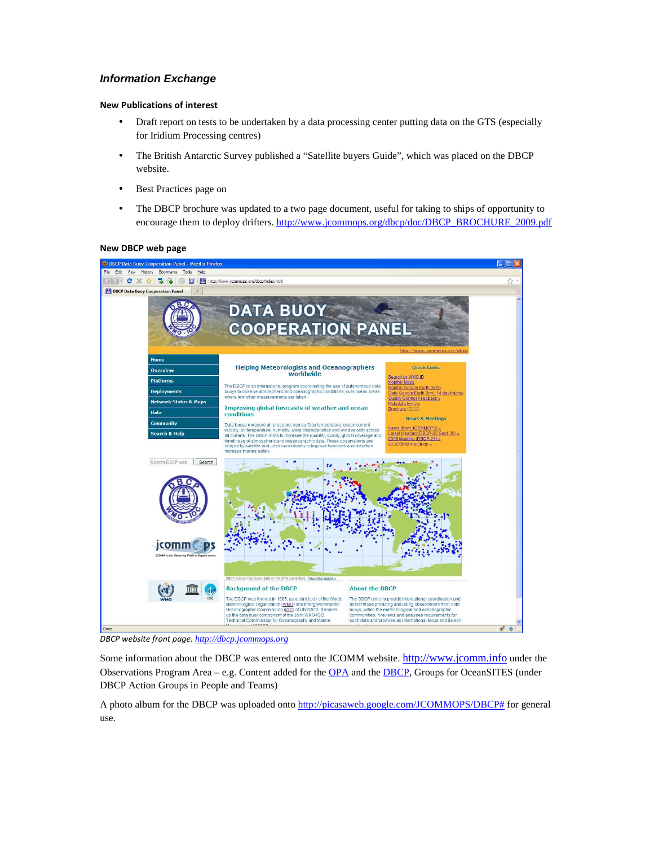## **Information Exchange**

## **New Publications of interest**

- Draft report on tests to be undertaken by a data processing center putting data on the GTS (especially for Iridium Processing centres)
- The British Antarctic Survey published a "Satellite buyers Guide", which was placed on the DBCP website.
- Best Practices page on
- The DBCP brochure was updated to a two page document, useful for taking to ships of opportunity to encourage them to deploy drifters. http://www.jcommops.org/dbcp/doc/DBCP\_BROCHURE\_2009.pdf

#### DBCP Data Buoy Cooperation Panel - Mozilla Fir Eile Edit View History Bookmarks Tools Help DBCP Data Buoy Cooperation Panel **DATA BUOY COOPERATION PANEL Helping Meteorologists and Oceanographers Quick Links**  $\begin{tabular}{p{0.8cm}} \hline \textbf{Quick Links} \\ \hline \textbf{Search by MMOID} \\ \textbf{Monthly Meons} \\ \textbf{Monthly Good Earth (km1)} \\ \textbf{Dally Good Earth (km1, 14 day tracks)} \\ \textbf{Quality Control Feedback}_x \end{tabular}$ Overview worldwide **Platforms** The DBCP is an international program coordinating the use of autonomous data<br>buoys to observe atmospheric and oceanographic conditions, over ocean areas<br>where few other measurements are taken. **Deployments Network Status & Maps** Improving global forecasts of weather and ocean Brochure ( Data conditions **News & Meetings** Data buoys measure air pressure, sea surface temperature, ocean current<br>velocity, air temperature, humidity, wave characteristics and wind velocity across<br>all oceans. The DBCP aims to increase the quantity, quality, global iunity News (from JCOMMOPS) »<br>Latest Meeting (DBCP-25 Sept '09) »<br>2008 Meeting (DBCP-24) »<br>All JCOMM meetings » city across arch & Hel Search DBCP web | Search المواقع والمحمد  $\bullet$ jcomm C map (buby data on the GTS yesterday). View map legend About the DBCP **Background of the DBCP** The DBCP was formed in 1985, as a joint body of the World Meteorological Organization (WMO) and Intergovernmental Oceanographic Commission (IQC) of UNESCO. It makes up the data buoy component of the Joint WMO-IOC The DBCP aims to provide international coordination and<br>assist those providing and using observations from data<br>buoys, within the meteorological and oceanographic ts for communities. It reviews and analyses requirements for<br>such data and provides an international focus and Italson Technical Commission for Oceanography and Marine

## **New DBCP web page**

*DBCP website front page. http://dbcp.jcommops.org*

Some information about the DBCP was entered onto the JCOMM website. http://www.jcomm.info under the Observations Program Area – e.g. Content added for the OPA and the DBCP, Groups for OceanSITES (under DBCP Action Groups in People and Teams)

A photo album for the DBCP was uploaded onto http://picasaweb.google.com/JCOMMOPS/DBCP# for general use.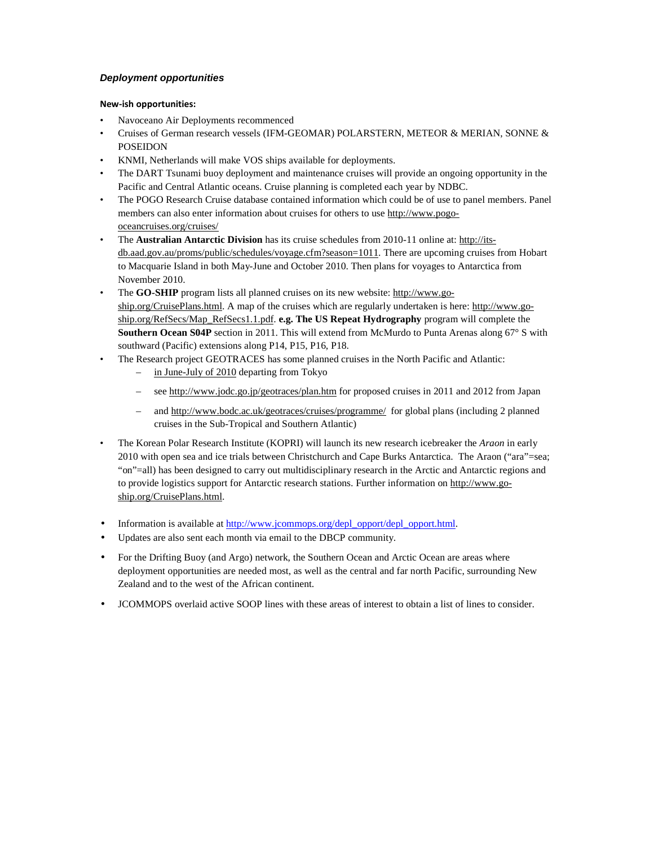## **Deployment opportunities**

## **New-ish opportunities:**

- Navoceano Air Deployments recommenced
- Cruises of German research vessels (IFM-GEOMAR) POLARSTERN, METEOR & MERIAN, SONNE & POSEIDON
- KNMI, Netherlands will make VOS ships available for deployments.
- The DART Tsunami buoy deployment and maintenance cruises will provide an ongoing opportunity in the Pacific and Central Atlantic oceans. Cruise planning is completed each year by NDBC.
- The POGO Research Cruise database contained information which could be of use to panel members. Panel members can also enter information about cruises for others to use http://www.pogooceancruises.org/cruises/
- The **Australian Antarctic Division** has its cruise schedules from 2010-11 online at: http://itsdb.aad.gov.au/proms/public/schedules/voyage.cfm?season=1011. There are upcoming cruises from Hobart to Macquarie Island in both May-June and October 2010. Then plans for voyages to Antarctica from November 2010.
- The **GO-SHIP** program lists all planned cruises on its new website: http://www.goship.org/CruisePlans.html. A map of the cruises which are regularly undertaken is here: http://www.goship.org/RefSecs/Map\_RefSecs1.1.pdf. **e.g. The US Repeat Hydrography** program will complete the **Southern Ocean S04P** section in 2011. This will extend from McMurdo to Punta Arenas along 67° S with southward (Pacific) extensions along P14, P15, P16, P18.
- The Research project GEOTRACES has some planned cruises in the North Pacific and Atlantic:
	- in June-July of 2010 departing from Tokyo
	- see http://www.jodc.go.jp/geotraces/plan.htm for proposed cruises in 2011 and 2012 from Japan
	- and http://www.bodc.ac.uk/geotraces/cruises/programme/ for global plans (including 2 planned cruises in the Sub-Tropical and Southern Atlantic)
- The Korean Polar Research Institute (KOPRI) will launch its new research icebreaker the *Araon* in early 2010 with open sea and ice trials between Christchurch and Cape Burks Antarctica. The Araon ("ara"=sea; "on"=all) has been designed to carry out multidisciplinary research in the Arctic and Antarctic regions and to provide logistics support for Antarctic research stations. Further information on http://www.goship.org/CruisePlans.html.
- Information is available at http://www.jcommops.org/depl\_opport/depl\_opport.html.
- Updates are also sent each month via email to the DBCP community.
- For the Drifting Buoy (and Argo) network, the Southern Ocean and Arctic Ocean are areas where deployment opportunities are needed most, as well as the central and far north Pacific, surrounding New Zealand and to the west of the African continent.
- JCOMMOPS overlaid active SOOP lines with these areas of interest to obtain a list of lines to consider.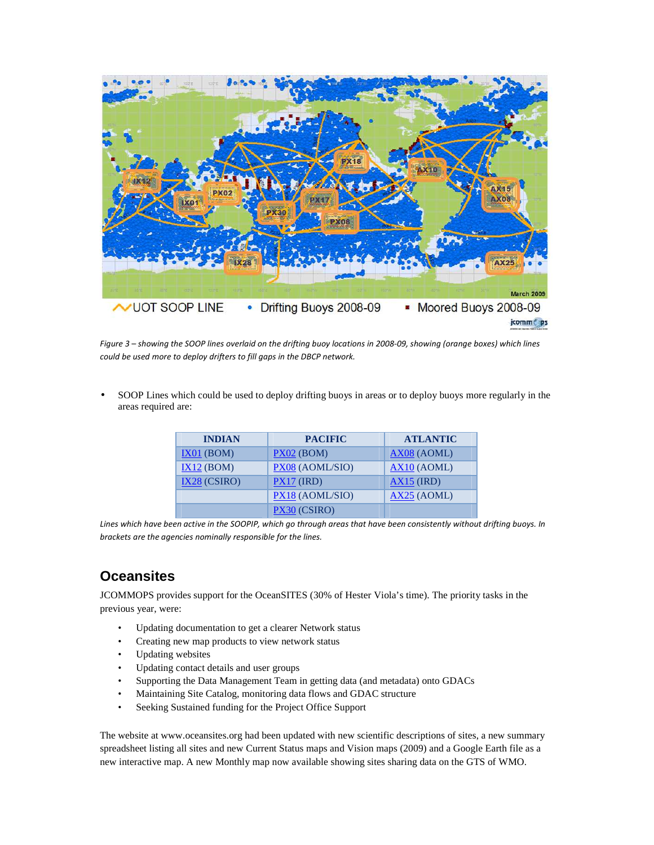

*Figure 3 – showing the SOOP lines overlaid on the drifting buoy locations in 2008-09, showing (orange boxes) which lines could be used more to deploy drifters to fill gaps in the DBCP network.* 

• SOOP Lines which could be used to deploy drifting buoys in areas or to deploy buoys more regularly in the areas required are:

| <b>INDIAN</b>  | <b>PACIFIC</b>  | <b>ATLANTIC</b> |
|----------------|-----------------|-----------------|
| IX01 (BOM)     | $PX02$ (BOM)    | AX08 (AOML)     |
| IX12 (BOM)     | PX08 (AOML/SIO) | $AX10$ (AOML)   |
| $IX28$ (CSIRO) | $PX17$ (IRD)    | $AX15$ (IRD)    |
|                | PX18 (AOML/SIO) | AX25 (AOML)     |
|                | PX30 (CSIRO)    |                 |

*Lines which have been active in the SOOPIP, which go through areas that have been consistently without drifting buoys. In brackets are the agencies nominally responsible for the lines.* 

## **Oceansites**

JCOMMOPS provides support for the OceanSITES (30% of Hester Viola's time). The priority tasks in the previous year, were:

- Updating documentation to get a clearer Network status
- Creating new map products to view network status
- Updating websites
- Updating contact details and user groups
- Supporting the Data Management Team in getting data (and metadata) onto GDACs
- Maintaining Site Catalog, monitoring data flows and GDAC structure
- Seeking Sustained funding for the Project Office Support

The website at www.oceansites.org had been updated with new scientific descriptions of sites, a new summary spreadsheet listing all sites and new Current Status maps and Vision maps (2009) and a Google Earth file as a new interactive map. A new Monthly map now available showing sites sharing data on the GTS of WMO.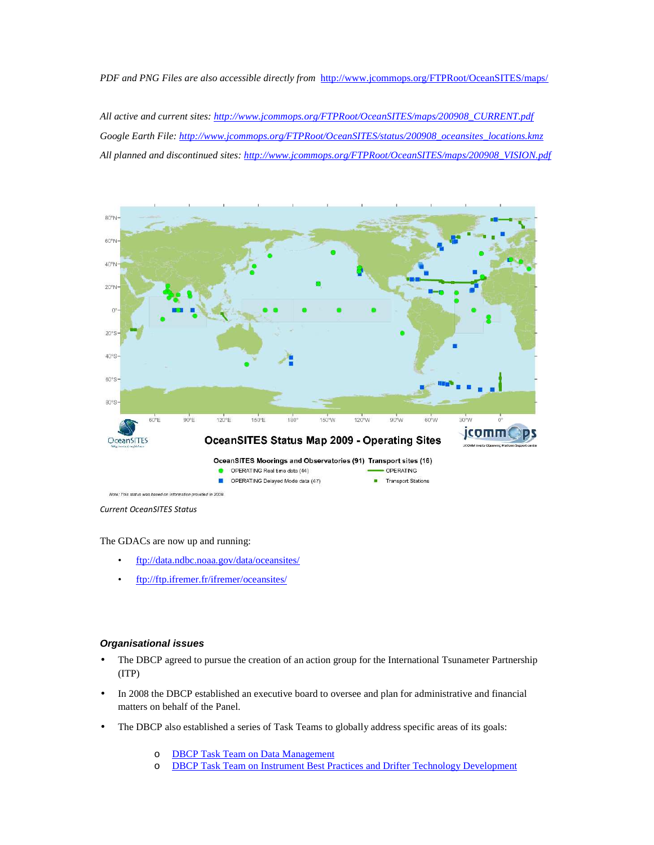*PDF and PNG Files are also accessible directly from* http://www.jcommops.org/FTPRoot/OceanSITES/maps/

*All active and current sites: http://www.jcommops.org/FTPRoot/OceanSITES/maps/200908\_CURRENT.pdf Google Earth File: http://www.jcommops.org/FTPRoot/OceanSITES/status/200908\_oceansites\_locations.kmz All planned and discontinued sites: http://www.jcommops.org/FTPRoot/OceanSITES/maps/200908\_VISION.pdf*



*Current OceanSITES Status* 

The GDACs are now up and running:

- ftp://data.ndbc.noaa.gov/data/oceansites/
- ftp://ftp.ifremer.fr/ifremer/oceansites/

#### **Organisational issues**

- The DBCP agreed to pursue the creation of an action group for the International Tsunameter Partnership (ITP)
- In 2008 the DBCP established an executive board to oversee and plan for administrative and financial matters on behalf of the Panel.
- The DBCP also established a series of Task Teams to globally address specific areas of its goals:
	- o DBCP Task Team on Data Management
	- o DBCP Task Team on Instrument Best Practices and Drifter Technology Development